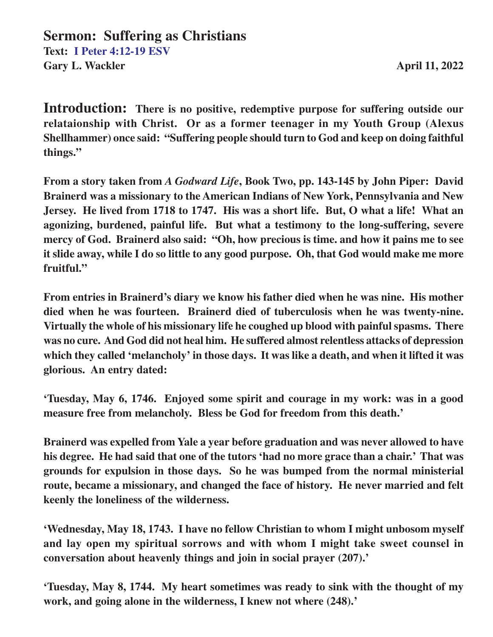**Introduction: There is no positive, redemptive purpose for suffering outside our relataionship with Christ. Or as a former teenager in my Youth Group (Alexus Shellhammer) once said: "Suffering people should turn to God and keep on doing faithful things."**

**From a story taken from** *A Godward Life***, Book Two, pp. 143-145 by John Piper: David Brainerd was a missionary to the American Indians of New York, Pennsylvania and New Jersey. He lived from 1718 to 1747. His was a short life. But, O what a life! What an agonizing, burdened, painful life. But what a testimony to the long-suffering, severe mercy of God. Brainerd also said: "Oh, how precious is time. and how it pains me to see it slide away, while I do so little to any good purpose. Oh, that God would make me more fruitful."**

**From entries in Brainerd's diary we know his father died when he was nine. His mother died when he was fourteen. Brainerd died of tuberculosis when he was twenty-nine. Virtually the whole of his missionary life he coughed up blood with painful spasms. There was no cure. And God did not heal him. He suffered almost relentless attacks of depression which they called 'melancholy' in those days. It was like a death, and when it lifted it was glorious. An entry dated:**

**'Tuesday, May 6, 1746. Enjoyed some spirit and courage in my work: was in a good measure free from melancholy. Bless be God for freedom from this death.'**

**Brainerd was expelled from Yale a year before graduation and was never allowed to have his degree. He had said that one of the tutors 'had no more grace than a chair.' That was grounds for expulsion in those days. So he was bumped from the normal ministerial route, became a missionary, and changed the face of history. He never married and felt keenly the loneliness of the wilderness.**

**'Wednesday, May 18, 1743. I have no fellow Christian to whom I might unbosom myself and lay open my spiritual sorrows and with whom I might take sweet counsel in conversation about heavenly things and join in social prayer (207).'**

**'Tuesday, May 8, 1744. My heart sometimes was ready to sink with the thought of my work, and going alone in the wilderness, I knew not where (248).'**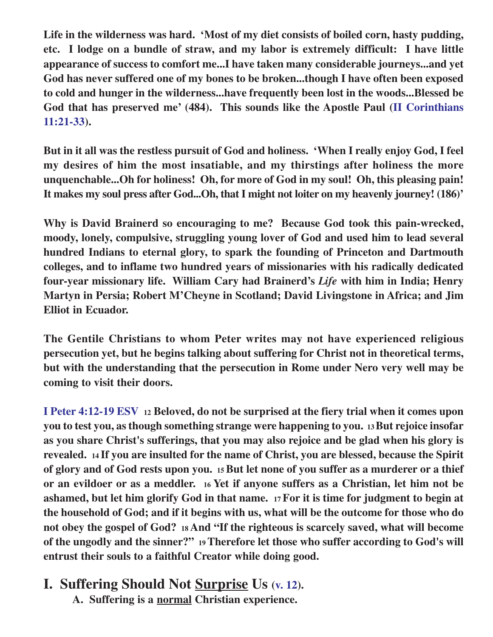**Life in the wilderness was hard. 'Most of my diet consists of boiled corn, hasty pudding, etc. I lodge on a bundle of straw, and my labor is extremely difficult: I have little appearance of success to comfort me...I have taken many considerable journeys...and yet God has never suffered one of my bones to be broken...though I have often been exposed to cold and hunger in the wilderness...have frequently been lost in the woods...Blessed be God that has preserved me' (484). This sounds like the Apostle Paul (II Corinthians 11:21-33).**

**But in it all was the restless pursuit of God and holiness. 'When I really enjoy God, I feel my desires of him the most insatiable, and my thirstings after holiness the more unquenchable...Oh for holiness! Oh, for more of God in my soul! Oh, this pleasing pain! It makes my soul press after God...Oh, that I might not loiter on my heavenly journey! (186)'**

**Why is David Brainerd so encouraging to me? Because God took this pain-wrecked, moody, lonely, compulsive, struggling young lover of God and used him to lead several hundred Indians to eternal glory, to spark the founding of Princeton and Dartmouth colleges, and to inflame two hundred years of missionaries with his radically dedicated four-year missionary life. William Cary had Brainerd's** *Life* **with him in India; Henry Martyn in Persia; Robert M'Cheyne in Scotland; David Livingstone in Africa; and Jim Elliot in Ecuador.**

**The Gentile Christians to whom Peter writes may not have experienced religious persecution yet, but he begins talking about suffering for Christ not in theoretical terms, but with the understanding that the persecution in Rome under Nero very well may be coming to visit their doors.**

**I Peter 4:12-19 ESV 12 Beloved, do not be surprised at the fiery trial when it comes upon you to test you, as though something strange were happening to you. 13 But rejoice insofar as you share Christ's sufferings, that you may also rejoice and be glad when his glory is revealed. 14 If you are insulted for the name of Christ, you are blessed, because the Spirit of glory and of God rests upon you. 15 But let none of you suffer as a murderer or a thief or an evildoer or as a meddler. 16 Yet if anyone suffers as a Christian, let him not be ashamed, but let him glorify God in that name. 17 For it is time for judgment to begin at the household of God; and if it begins with us, what will be the outcome for those who do not obey the gospel of God? 18 And "If the righteous is scarcely saved, what will become of the ungodly and the sinner?" 19 Therefore let those who suffer according to God's will entrust their souls to a faithful Creator while doing good.**

## **I. Suffering Should Not Surprise Us (v. 12).**

**A. Suffering is a normal Christian experience.**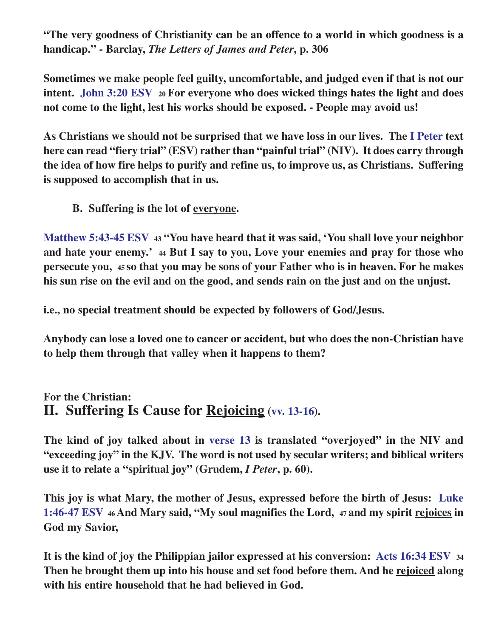**"The very goodness of Christianity can be an offence to a world in which goodness is a handicap." - Barclay,** *The Letters of James and Peter***, p. 306**

**Sometimes we make people feel guilty, uncomfortable, and judged even if that is not our intent. John 3:20 ESV 20 For everyone who does wicked things hates the light and does not come to the light, lest his works should be exposed. - People may avoid us!**

**As Christians we should not be surprised that we have loss in our lives. The I Peter text here can read "fiery trial" (ESV) rather than "painful trial" (NIV). It does carry through the idea of how fire helps to purify and refine us, to improve us, as Christians. Suffering is supposed to accomplish that in us.**

**B. Suffering is the lot of everyone.**

**Matthew 5:43-45 ESV 43 "You have heard that it was said, 'You shall love your neighbor and hate your enemy.' 44 But I say to you, Love your enemies and pray for those who persecute you, 45 so that you may be sons of your Father who is in heaven. For he makes his sun rise on the evil and on the good, and sends rain on the just and on the unjust.**

**i.e., no special treatment should be expected by followers of God/Jesus.**

**Anybody can lose a loved one to cancer or accident, but who does the non-Christian have to help them through that valley when it happens to them?**

#### **For the Christian: II. Suffering Is Cause for Rejoicing (vv. 13-16).**

**The kind of joy talked about in verse 13 is translated "overjoyed" in the NIV and "exceeding joy" in the KJV. The word is not used by secular writers; and biblical writers use it to relate a "spiritual joy" (Grudem,** *I Peter***, p. 60).**

**This joy is what Mary, the mother of Jesus, expressed before the birth of Jesus: Luke 1:46-47 ESV 46 And Mary said, "My soul magnifies the Lord, 47 and my spirit rejoices in God my Savior,**

**It is the kind of joy the Philippian jailor expressed at his conversion: Acts 16:34 ESV <sup>34</sup> Then he brought them up into his house and set food before them. And he rejoiced along with his entire household that he had believed in God.**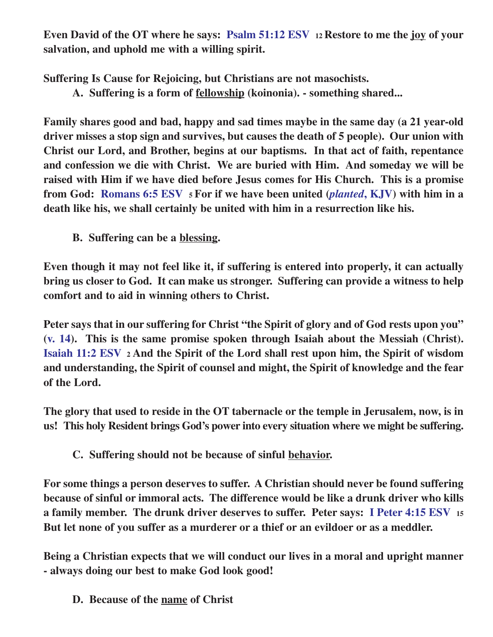**Even David of the OT where he says: Psalm 51:12 ESV 12 Restore to me the joy of your salvation, and uphold me with a willing spirit.**

**Suffering Is Cause for Rejoicing, but Christians are not masochists.**

**A. Suffering is a form of fellowship (koinonia). - something shared...**

**Family shares good and bad, happy and sad times maybe in the same day (a 21 year-old driver misses a stop sign and survives, but causes the death of 5 people). Our union with Christ our Lord, and Brother, begins at our baptisms. In that act of faith, repentance and confession we die with Christ. We are buried with Him. And someday we will be raised with Him if we have died before Jesus comes for His Church. This is a promise from God: Romans 6:5 ESV 5 For if we have been united (***planted***, KJV) with him in a death like his, we shall certainly be united with him in a resurrection like his.**

**B. Suffering can be a blessing.**

**Even though it may not feel like it, if suffering is entered into properly, it can actually bring us closer to God. It can make us stronger. Suffering can provide a witness to help comfort and to aid in winning others to Christ.**

**Peter says that in our suffering for Christ "the Spirit of glory and of God rests upon you" (v. 14). This is the same promise spoken through Isaiah about the Messiah (Christ). Isaiah 11:2 ESV 2 And the Spirit of the Lord shall rest upon him, the Spirit of wisdom and understanding, the Spirit of counsel and might, the Spirit of knowledge and the fear of the Lord.**

**The glory that used to reside in the OT tabernacle or the temple in Jerusalem, now, is in us! This holy Resident brings God's power into every situation where we might be suffering.**

**C. Suffering should not be because of sinful behavior.**

**For some things a person deserves to suffer. A Christian should never be found suffering because of sinful or immoral acts. The difference would be like a drunk driver who kills a family member. The drunk driver deserves to suffer. Peter says: I Peter 4:15 ESV <sup>15</sup> But let none of you suffer as a murderer or a thief or an evildoer or as a meddler.**

**Being a Christian expects that we will conduct our lives in a moral and upright manner - always doing our best to make God look good!**

**D. Because of the name of Christ**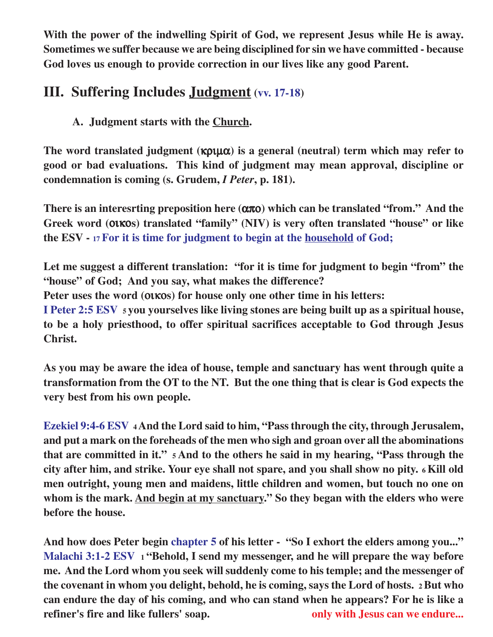**With the power of the indwelling Spirit of God, we represent Jesus while He is away. Sometimes we suffer because we are being disciplined for sin we have committed - because God loves us enough to provide correction in our lives like any good Parent.**

# **III. Suffering Includes Judgment (vv. 17-18)**

**A. Judgment starts with the Church.**

**The word translated judgment (**κριµα**) is a general (neutral) term which may refer to good or bad evaluations. This kind of judgment may mean approval, discipline or condemnation is coming (s. Grudem,** *I Peter***, p. 181).**

**There is an interesrting preposition here (**απο**) which can be translated "from." And the Greek word (**οικο**s) translated "family" (NIV) is very often translated "house" or like the ESV - 17 For it is time for judgment to begin at the household of God;**

**Let me suggest a different translation: "for it is time for judgment to begin "from" the "house" of God; And you say, what makes the difference?**

**Peter uses the word (**οικο**s) for house only one other time in his letters:**

**I Peter 2:5 ESV 5 you yourselves like living stones are being built up as a spiritual house, to be a holy priesthood, to offer spiritual sacrifices acceptable to God through Jesus Christ.**

**As you may be aware the idea of house, temple and sanctuary has went through quite a transformation from the OT to the NT. But the one thing that is clear is God expects the very best from his own people.**

**Ezekiel 9:4-6 ESV <sup>4</sup>And the Lord said to him, "Pass through the city, through Jerusalem, and put a mark on the foreheads of the men who sigh and groan over all the abominations that are committed in it." 5 And to the others he said in my hearing, "Pass through the city after him, and strike. Your eye shall not spare, and you shall show no pity. 6 Kill old men outright, young men and maidens, little children and women, but touch no one on whom is the mark. And begin at my sanctuary." So they began with the elders who were before the house.**

**And how does Peter begin chapter 5 of his letter - "So I exhort the elders among you..." Malachi 3:1-2 ESV 1 "Behold, I send my messenger, and he will prepare the way before me. And the Lord whom you seek will suddenly come to his temple; and the messenger of the covenant in whom you delight, behold, he is coming, says the Lord of hosts. 2 But who can endure the day of his coming, and who can stand when he appears? For he is like a refiner's fire and like fullers' soap. only with Jesus can we endure...**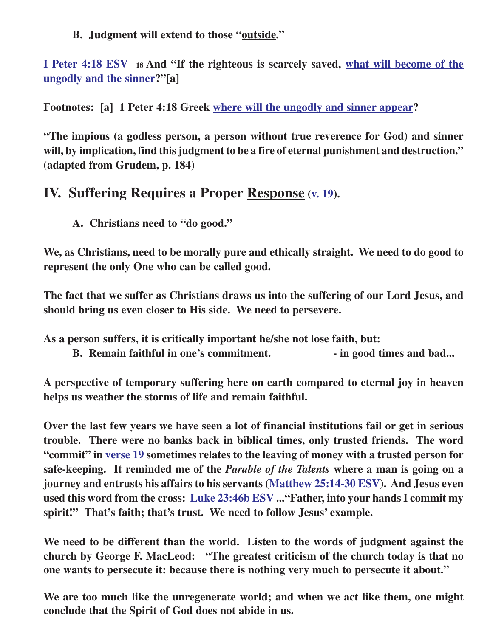**B. Judgment will extend to those "outside."**

**I Peter 4:18 ESV 18 And "If the righteous is scarcely saved, what will become of the ungodly and the sinner?"[a]**

**Footnotes: [a] 1 Peter 4:18 Greek where will the ungodly and sinner appear?**

**"The impious (a godless person, a person without true reverence for God) and sinner will, by implication, find this judgment to be a fire of eternal punishment and destruction." (adapted from Grudem, p. 184)**

# **IV. Suffering Requires a Proper Response (v. 19).**

**A. Christians need to "do good."**

**We, as Christians, need to be morally pure and ethically straight. We need to do good to represent the only One who can be called good.**

**The fact that we suffer as Christians draws us into the suffering of our Lord Jesus, and should bring us even closer to His side. We need to persevere.**

**As a person suffers, it is critically important he/she not lose faith, but:**

**B.** Remain faithful in one's commitment. **- in good times and bad...** 

**A perspective of temporary suffering here on earth compared to eternal joy in heaven helps us weather the storms of life and remain faithful.**

**Over the last few years we have seen a lot of financial institutions fail or get in serious trouble. There were no banks back in biblical times, only trusted friends. The word "commit" in verse 19 sometimes relates to the leaving of money with a trusted person for safe-keeping. It reminded me of the** *Parable of the Talents* **where a man is going on a journey and entrusts his affairs to his servants (Matthew 25:14-30 ESV). And Jesus even used this word from the cross: Luke 23:46b ESV ..."Father, into your hands I commit my spirit!" That's faith; that's trust. We need to follow Jesus' example.**

**We need to be different than the world. Listen to the words of judgment against the church by George F. MacLeod: "The greatest criticism of the church today is that no one wants to persecute it: because there is nothing very much to persecute it about."**

**We are too much like the unregenerate world; and when we act like them, one might conclude that the Spirit of God does not abide in us.**